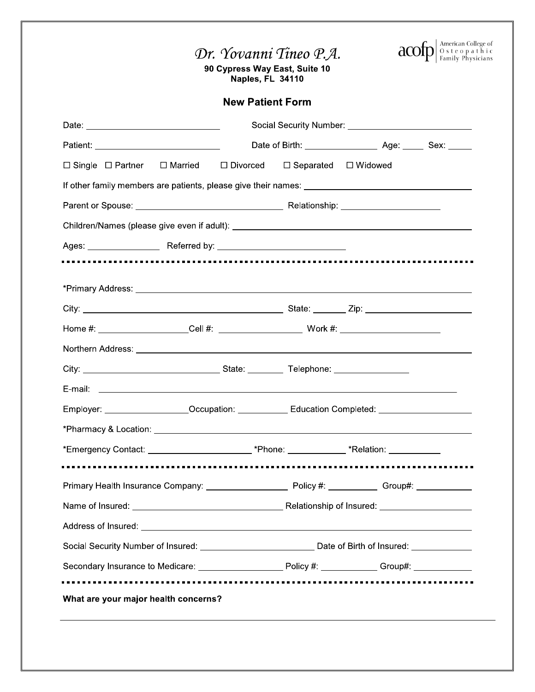

90 Cypress Way East, Suite 10<br>Naples, FL 34110

### **New Patient Form**

| $\Box$ Single $\Box$ Partner $\Box$ Married $\Box$ Divorced $\Box$ Separated $\Box$ Widowed                                                                                                                                          |  |  |                                   |  |  |  |
|--------------------------------------------------------------------------------------------------------------------------------------------------------------------------------------------------------------------------------------|--|--|-----------------------------------|--|--|--|
|                                                                                                                                                                                                                                      |  |  |                                   |  |  |  |
|                                                                                                                                                                                                                                      |  |  |                                   |  |  |  |
|                                                                                                                                                                                                                                      |  |  |                                   |  |  |  |
|                                                                                                                                                                                                                                      |  |  |                                   |  |  |  |
|                                                                                                                                                                                                                                      |  |  |                                   |  |  |  |
|                                                                                                                                                                                                                                      |  |  |                                   |  |  |  |
|                                                                                                                                                                                                                                      |  |  |                                   |  |  |  |
|                                                                                                                                                                                                                                      |  |  |                                   |  |  |  |
|                                                                                                                                                                                                                                      |  |  |                                   |  |  |  |
|                                                                                                                                                                                                                                      |  |  |                                   |  |  |  |
|                                                                                                                                                                                                                                      |  |  |                                   |  |  |  |
| Employer: ____________________Occupation: ______________Education Completed: ______________________                                                                                                                                  |  |  |                                   |  |  |  |
|                                                                                                                                                                                                                                      |  |  |                                   |  |  |  |
| *Emergency Contact: __________________________*Phone: ______________*Relation: ____________                                                                                                                                          |  |  |                                   |  |  |  |
|                                                                                                                                                                                                                                      |  |  |                                   |  |  |  |
|                                                                                                                                                                                                                                      |  |  |                                   |  |  |  |
| Name of Insured:                                                                                                                                                                                                                     |  |  | Relationship of Insured: ________ |  |  |  |
| Address of Insured: <u>contract the contract of the contract of the contract of the contract of the contract of the contract of the contract of the contract of the contract of the contract of the contract of the contract of </u> |  |  |                                   |  |  |  |
| Social Security Number of Insured: __________________________________ Date of Birth of Insured: _____________                                                                                                                        |  |  |                                   |  |  |  |
| Secondary Insurance to Medicare: __________________________Policy #: ____________ Group#: __________                                                                                                                                 |  |  |                                   |  |  |  |
| What are your major health concerns?                                                                                                                                                                                                 |  |  |                                   |  |  |  |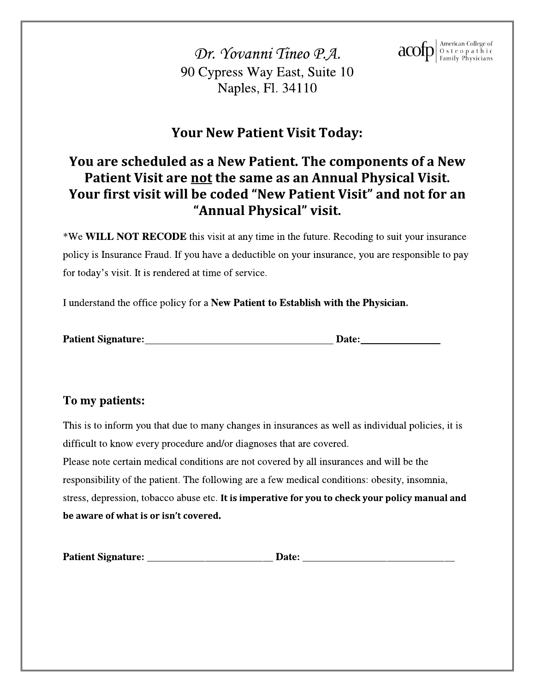$\text{acon}$   $\text{map}$   $\left| \begin{smallmatrix} \text{American College of} \\ \text{O s t e o p a t h i c} \\ \text{Family Physicsians} \end{smallmatrix} \right|$ 

Dr. Yovanni Tineo P.A. 90 Cypress Way East, Suite 10 Naples, Fl. 34110

### **Your New Patient Visit Today:**

### You are scheduled as a New Patient. The components of a New Patient Visit are not the same as an Annual Physical Visit. Your first visit will be coded "New Patient Visit" and not for an "Annual Physical" visit.

\*We WILL NOT RECODE this visit at any time in the future. Recoding to suit your insurance policy is Insurance Fraud. If you have a deductible on your insurance, you are responsible to pay for today's visit. It is rendered at time of service.

I understand the office policy for a New Patient to Establish with the Physician.

| <b>Patient Signature:</b> | Date: |
|---------------------------|-------|
|---------------------------|-------|

### To my patients:

This is to inform you that due to many changes in insurances as well as individual policies, it is difficult to know every procedure and/or diagnoses that are covered. Please note certain medical conditions are not covered by all insurances and will be the responsibility of the patient. The following are a few medical conditions: obesity, insomnia, stress, depression, tobacco abuse etc. It is imperative for you to check your policy manual and be aware of what is or isn't covered.

|  | <b>Patient Signature:</b> |  |  |  |
|--|---------------------------|--|--|--|
|--|---------------------------|--|--|--|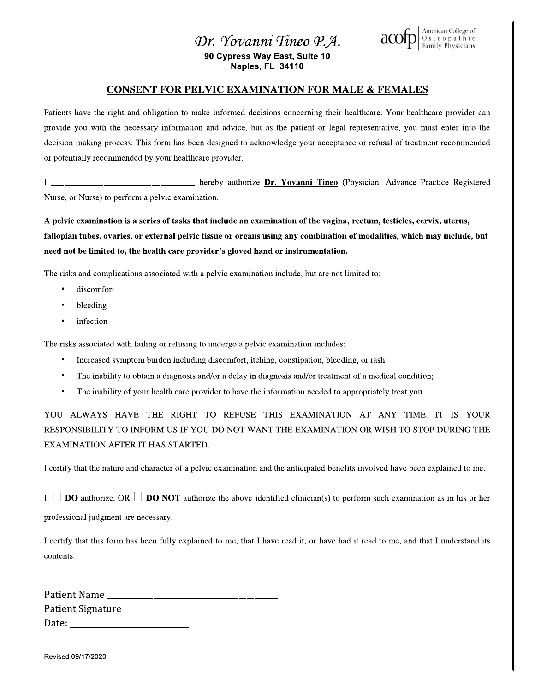



### **CONSENT FOR PELVIC EXAMINATION FOR MALE & FEMALES**

Patients have the right and obligation to make informed decisions concerning their healthcare. Your healthcare provider can provide you with the necessary information and advice, but as the patient or legal representative, you must enter into the decision making process. This form has been designed to acknowledge your acceptance or refusal of treatment recommended or potentially recommended by your healthcare provider.

\_\_ hereby authorize Dr. Yovanni Tineo (Physician, Advance Practice Registered  $\mathbf I$ Nurse, or Nurse) to perform a pelvic examination.

A pelvic examination is a series of tasks that include an examination of the vagina, rectum, testicles, cervix, uterus, fallopian tubes, ovaries, or external pelvic tissue or organs using any combination of modalities, which may include, but need not be limited to, the health care provider's gloved hand or instrumentation.

The risks and complications associated with a pelvic examination include, but are not limited to:

- discomfort
- bleeding
- infection

The risks associated with failing or refusing to undergo a pelvic examination includes:

- Increased symptom burden including discomfort, itching, constipation, bleeding, or rash
- The inability to obtain a diagnosis and/or a delay in diagnosis and/or treatment of a medical condition;
- The inability of your health care provider to have the information needed to appropriately treat you.

YOU ALWAYS HAVE THE RIGHT TO REFUSE THIS EXAMINATION AT ANY TIME. IT IS YOUR RESPONSIBILITY TO INFORM US IF YOU DO NOT WANT THE EXAMINATION OR WISH TO STOP DURING THE EXAMINATION AFTER IT HAS STARTED.

I certify that the nature and character of a pelvic examination and the anticipated benefits involved have been explained to me.

I,  $\Box$  **DO** authorize, OR  $\Box$  **DO NOT** authorize the above-identified clinician(s) to perform such examination as in his or her professional judgment are necessary.

I certify that this form has been fully explained to me, that I have read it, or have had it read to me, and that I understand its contents.

| Patient Name      |  |
|-------------------|--|
| Patient Signature |  |
| Date:             |  |

Revised 09/17/2020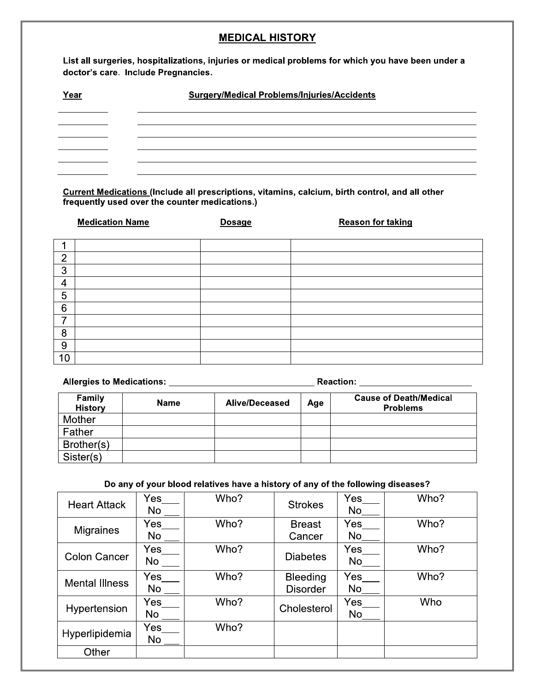### **MEDICAL HISTORY**

List all surgeries, hospitalizations, injuries or medical problems for which you have been under a doctor's care. Include Pregnancies.

| Year | <b>Surgery/Medical Problems/Injuries/Accidents</b> |  |
|------|----------------------------------------------------|--|
|      |                                                    |  |
|      |                                                    |  |
|      |                                                    |  |
|      |                                                    |  |
|      |                                                    |  |

Current Medications (Include all prescriptions, vitamins, calcium, birth control, and all other frequently used over the counter medications.)

|                | <b>Medication Name</b> | <b>Dosage</b> | <b>Reason for taking</b> |
|----------------|------------------------|---------------|--------------------------|
|                |                        |               |                          |
|                |                        |               |                          |
| $\overline{2}$ |                        |               |                          |
| 3              |                        |               |                          |
| 4              |                        |               |                          |
| 5              |                        |               |                          |
| 6              |                        |               |                          |
| ⇁              |                        |               |                          |
| 8              |                        |               |                          |
| 9              |                        |               |                          |
| 10             |                        |               |                          |

Allergies to Medications: Network and Section Reaction: Network and Section Allergies to Medications:

| Family<br><b>History</b> | <b>Name</b> | <b>Alive/Deceased</b> | Age | <b>Cause of Death/Medical</b><br><b>Problems</b> |
|--------------------------|-------------|-----------------------|-----|--------------------------------------------------|
| Mother                   |             |                       |     |                                                  |
| Father                   |             |                       |     |                                                  |
| Brother(s)               |             |                       |     |                                                  |
| Sister(s)                |             |                       |     |                                                  |

### Do any of your blood relatives have a history of any of the following diseases?

| <b>Heart Attack</b>   | Yes<br>No        | Who? | <b>Strokes</b>                     | Yes<br>No        | Who? |
|-----------------------|------------------|------|------------------------------------|------------------|------|
| <b>Migraines</b>      | Yes<br>No        | Who? | <b>Breast</b><br>Cancer            | Yes<br>No        | Who? |
| <b>Colon Cancer</b>   | Yes<br><b>No</b> | Who? | <b>Diabetes</b>                    | <b>Yes</b><br>No | Who? |
| <b>Mental Illness</b> | Yes<br>No        | Who? | <b>Bleeding</b><br><b>Disorder</b> | <b>Yes</b><br>No | Who? |
| Hypertension          | Yes<br><b>No</b> | Who? | Cholesterol                        | Yes<br>No        | Who  |
| Hyperlipidemia        | Yes<br>No        | Who? |                                    |                  |      |
| Other                 |                  |      |                                    |                  |      |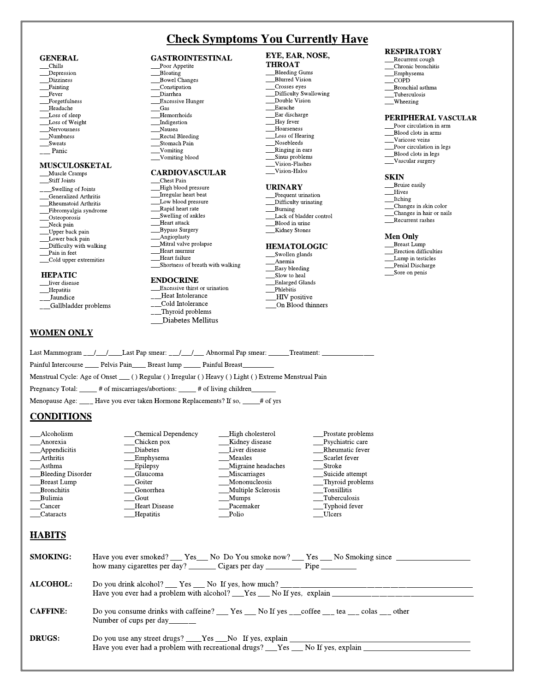### **Check Symptoms You Currently Have**

#### **GENERAL**

- Chills Depression
- **Dizziness**
- Fainting
- Fever
- Forgetfulness Headache
- Loss of sleep
- Loss of Weight
- Nervousness
- Numbness Sweats
- \_ Panic
- 

#### **MUSCULOSKETAL**

- Muscle Cramps **Stiff Joints**
- 
- Swelling of Joints
- Generalized Arthritis Rheumatoid Arthritis
- Fibromyalgia syndrome
- Osteoporosis
- Neck pain
- \_Upper back pain
- Lower back pain
- Difficulty with walking
- Pain in feet
- \_Cold upper extremities

#### **HEPATIC**

- liver disease \_Hepatitis
- \_Jaundice
- Gallbladder problems
- 

### **WOMEN ONLY**

**CONDITIONS** 

Bleeding Disorder

Breast Lump

**Bronchitis** 

Bulimia

\_Cancer

**HABITS** 

**SMOKING:** 

ALCOHOL:

**CAFFINE:** 

**DRUGS:** 

\_Cataracts

\_Alcoholism

Anorexia  $\_\$ 

\_\_Arthritis

\_Asthma

- **GASTROINTESTINAL** Poor Appetite
- Bloating
- Bowel Changes
- \_Constipation
- \_Diarrhea **Excessive Hunger**
- Gas
- Hemorrhoids
- **Indigestion**
- Nausea Rectal Bleeding
- Stomach Pain
- Vomiting
- Vomiting blood

### **CARDIOVASCULAR**

- Chest Pain
- -<br>High blood pressure
- Irregular heart beat Low blood pressure
- Rapid heart rate
- Swelling of ankles
- Heart attack
- Bypass Surgery
- Angioplasty
- Mitral valve prolapse
- Heart murmur
- Heart failure Shortness of breath with walking

### **ENDOCRINE**

\_\_Excessive thirst or urination Heat Intolerance Cold Intolerance Thyroid problems Diabetes Mellitus

Last Mammogram \_\_/\_\_/\_\_\_\_Last Pap smear: \_\_/\_\_/\_\_\_ Abnormal Pap smear: \_\_\_\_\_\_Treatment: \_\_

Menstrual Cycle: Age of Onset \_\_ () Regular () Irregular () Heavy () Light () Extreme Menstrual Pain

Painful Intercourse \_\_\_\_\_\_ Pelvis Pain\_\_\_\_\_ Breast lump \_\_\_\_\_\_ Painful Breast\_

Pregnancy Total: \_\_\_\_\_# of miscarriages/abortions: \_\_\_\_# of living children\_

Menopause Age: Have you ever taken Hormone Replacements? If so, \_\_\_\_ # of yrs

Chicken pox

Emphysema

Diabetes

Epilepsy

Goiter

Gout

Number of cups per day\_

Glaucoma

Gonorrhea

**Hepatitis** 

**Heart Disease** 

Chemical Dependency

#### EYE, EAR, NOSE, **THROAT**

- Bleeding Gums
- **Blurred Vision**
- \_<br>Crosses eyes
- -<br>Difficulty Swallowing<br>Double Vision
- Earache
- Ear discharge
- \_Hay fever Hoarseness
- Loss of Hearing
- Nosebleeds
- Ringing in ears Sinus problems
- Vision-Flashes
- Vision-Halos

#### **URINARY**

- Frequent urination
- Difficulty urinating
- Burning
- Lack of bladder control \_Blood in urine
- **Kidney Stones**

- **HEMATOLOGIC** Swollen glands
- Anemia
- Easy bleeding
- Slow to heal

High cholesterol

Kidney disease

Migraine headaches

Liver disease

Miscarriages

Mononucleosis

Do you consume drinks with caffeine? \_\_\_ Yes \_\_\_ No If yes \_\_\_ coffee \_\_\_ tea \_\_\_ colas \_\_\_ other

Multiple Sclerosis

Have you ever smoked? \_\_\_ Yes\_\_\_ No Do You smoke now? \_\_\_ Yes \_\_\_ No Smoking since \_\_\_\_\_\_\_\_\_\_\_\_\_\_\_\_

**Measles** 

**Mumps** 

Polio

how many cigarettes per day? \_\_\_\_\_\_\_\_\_ Cigars per day \_\_\_\_\_\_\_\_\_\_\_\_\_\_ Pipe \_\_\_\_\_\_\_\_\_\_\_

Have you ever had a problem with recreational drugs? \_\_\_Yes \_\_\_ No If yes, explain

Have you ever had a problem with alcohol? \_\_\_Yes \_\_\_\_ No If yes, explain

Do you drink alcohol? Yes No If yes, how much?

Do you use any street drugs? \_\_\_Yes \_\_No If yes, explain \_

Pacemaker

Enlarged Glands Phlebitis

### HIV positive

On Blood thinners

Prostate problems

Psychiatric care

Rheumatic fever

Suicide attempt

Tuberculosis

Typhoid fever

Thyroid problems Tonsillitis

Scarlet fever

Stroke

**Ulcers** 

**RESPIRATORY** 

- \_\_Recurrent cough
- Chronic bronchitis \_Emphysema
- $\overline{\text{COPD}}$
- Bronchial asthma
- Tuberculosis
- \_Wheezing

#### PERIPHERAL VASCULAR

- Poor circulation in arm
- Blood clots in arms
- Varicose veins
- Poor circulation in legs

Changes in skin color

Recurrent rashes

Erection difficulties

Lump in testicles

Penial Discharge

Sore on penis

Changes in hair or nails

- \_Blood clots in legs
- Vascular surgery

Bruise easily

#### **SKIN**

Hives

Itching

**Men Only** 

Breast Lump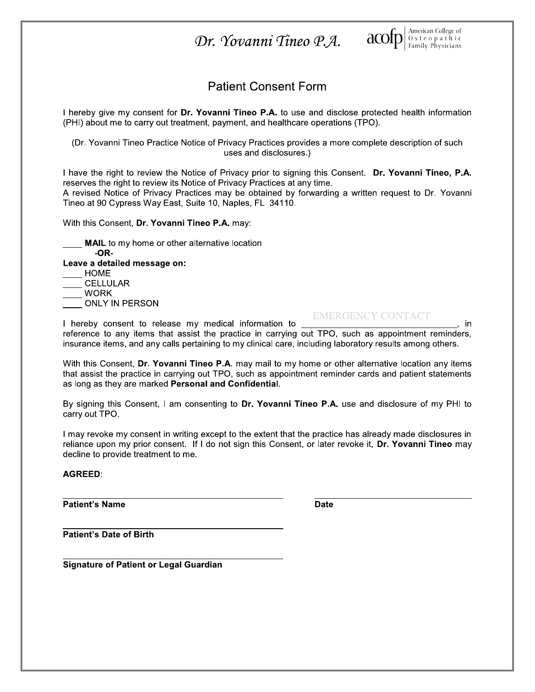

### **Patient Consent Form**

I hereby give my consent for Dr. Yovanni Tineo P.A. to use and disclose protected health information (PHI) about me to carry out treatment, payment, and healthcare operations (TPO).

(Dr. Yovanni Tineo Practice Notice of Privacy Practices provides a more complete description of such uses and disclosures.)

I have the right to review the Notice of Privacy prior to signing this Consent. Dr. Yovanni Tineo, P.A. reserves the right to review its Notice of Privacy Practices at any time.

A revised Notice of Privacy Practices may be obtained by forwarding a written request to Dr. Yovanni Tineo at 90 Cypress Way East, Suite 10, Naples, FL 34110.

With this Consent, Dr. Yovanni Tineo P.A. may:

MAIL to my home or other alternative location  $-OR-$ Leave a detailed message on: **HOME CELLULAR WORK** ONLY IN PERSON

**EMERGENCY CONTACT** 

in

I hereby consent to release my medical information to reference to any items that assist the practice in carrying out TPO, such as appointment reminders, insurance items, and any calls pertaining to my clinical care, including laboratory results among others.

With this Consent, Dr. Yovanni Tineo P.A. may mail to my home or other alternative location any items that assist the practice in carrying out TPO, such as appointment reminder cards and patient statements as long as they are marked Personal and Confidential.

By signing this Consent, I am consenting to Dr. Yovanni Tineo P.A. use and disclosure of my PHI to carry out TPO.

I may revoke my consent in writing except to the extent that the practice has already made disclosures in reliance upon my prior consent. If I do not sign this Consent, or later revoke it, Dr. Yovanni Tineo may decline to provide treatment to me.

**AGREED:** 

**Patient's Name** 

**Date** 

**Patient's Date of Birth** 

**Signature of Patient or Legal Guardian**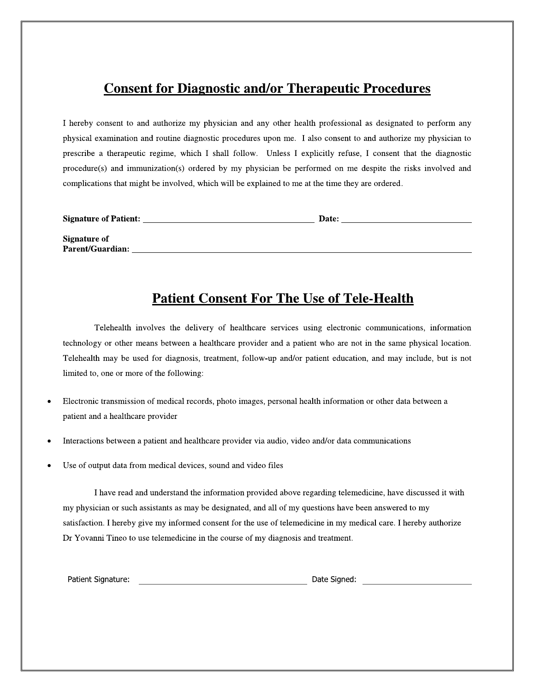### **Consent for Diagnostic and/or Therapeutic Procedures**

I hereby consent to and authorize my physician and any other health professional as designated to perform any physical examination and routine diagnostic procedures upon me. I also consent to and authorize my physician to prescribe a therapeutic regime, which I shall follow. Unless I explicitly refuse, I consent that the diagnostic procedure(s) and immunization(s) ordered by my physician be performed on me despite the risks involved and complications that might be involved, which will be explained to me at the time they are ordered.

| <b>Signature of Patient:</b> | Date: |  |
|------------------------------|-------|--|
| <b>Signature of</b>          |       |  |
| <b>Parent/Guardian:</b>      |       |  |
|                              |       |  |

### **Patient Consent For The Use of Tele-Health**

Telehealth involves the delivery of healthcare services using electronic communications, information technology or other means between a healthcare provider and a patient who are not in the same physical location. Telehealth may be used for diagnosis, treatment, follow-up and/or patient education, and may include, but is not limited to, one or more of the following:

- Electronic transmission of medical records, photo images, personal health information or other data between a patient and a healthcare provider
- Interactions between a patient and healthcare provider via audio, video and/or data communications
- Use of output data from medical devices, sound and video files

I have read and understand the information provided above regarding telemedicine, have discussed it with my physician or such assistants as may be designated, and all of my questions have been answered to my satisfaction. I hereby give my informed consent for the use of telemedicine in my medical care. I hereby authorize Dr Yovanni Tineo to use telemedicine in the course of my diagnosis and treatment.

Patient Signature: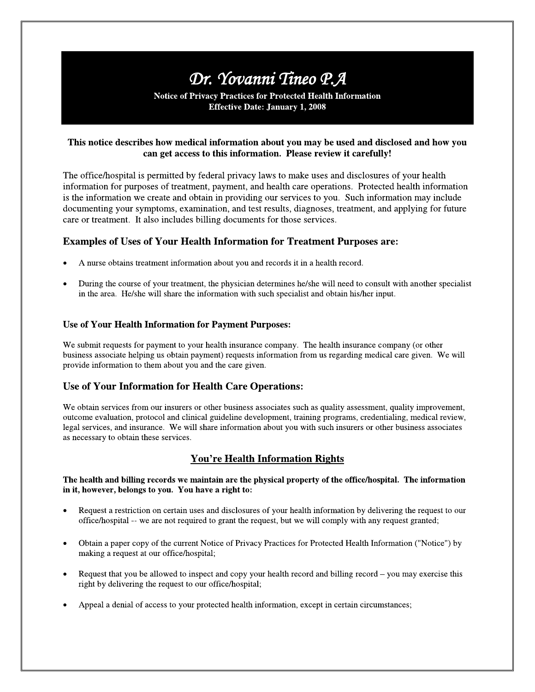**Notice of Privacy Practices for Protected Health Information Effective Date: January 1, 2008** 

### This notice describes how medical information about you may be used and disclosed and how you can get access to this information. Please review it carefully!

The office/hospital is permitted by federal privacy laws to make uses and disclosures of your health information for purposes of treatment, payment, and health care operations. Protected health information is the information we create and obtain in providing our services to you. Such information may include documenting your symptoms, examination, and test results, diagnoses, treatment, and applying for future care or treatment. It also includes billing documents for those services.

### Examples of Uses of Your Health Information for Treatment Purposes are:

- A nurse obtains treatment information about you and records it in a health record.
- During the course of your treatment, the physician determines he/she will need to consult with another specialist in the area. He/she will share the information with such specialist and obtain his/her input.

### **Use of Your Health Information for Payment Purposes:**

We submit requests for payment to your health insurance company. The health insurance company (or other business associate helping us obtain payment) requests information from us regarding medical care given. We will provide information to them about you and the care given.

### Use of Your Information for Health Care Operations:

We obtain services from our insurers or other business associates such as quality assessment, quality improvement, outcome evaluation, protocol and clinical guideline development, training programs, credentialing, medical review, legal services, and insurance. We will share information about you with such insurers or other business associates as necessary to obtain these services.

### **You're Health Information Rights**

#### The health and billing records we maintain are the physical property of the office/hospital. The information in it, however, belongs to you. You have a right to:

- Request a restriction on certain uses and disclosures of your health information by delivering the request to our office/hospital -- we are not required to grant the request, but we will comply with any request granted;
- Obtain a paper copy of the current Notice of Privacy Practices for Protected Health Information ("Notice") by making a request at our office/hospital;
- Request that you be allowed to inspect and copy your health record and billing record you may exercise this  $\bullet$ right by delivering the request to our office/hospital;
- Appeal a denial of access to your protected health information, except in certain circumstances;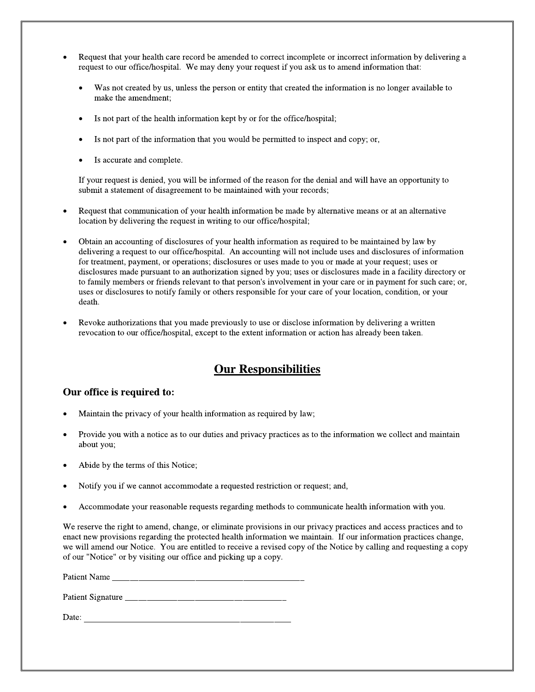- Request that your health care record be amended to correct incomplete or incorrect information by delivering a request to our office/hospital. We may deny your request if you ask us to amend information that:
	- Was not created by us, unless the person or entity that created the information is no longer available to make the amendment;
	- Is not part of the health information kept by or for the office/hospital;
	- Is not part of the information that you would be permitted to inspect and copy; or,
	- Is accurate and complete.

If your request is denied, you will be informed of the reason for the denial and will have an opportunity to submit a statement of disagreement to be maintained with your records;

- Request that communication of your health information be made by alternative means or at an alternative location by delivering the request in writing to our office/hospital;
- Obtain an accounting of disclosures of your health information as required to be maintained by law by delivering a request to our office/hospital. An accounting will not include uses and disclosures of information for treatment, payment, or operations; disclosures or uses made to you or made at your request; uses or disclosures made pursuant to an authorization signed by you; uses or disclosures made in a facility directory or to family members or friends relevant to that person's involvement in your care or in payment for such care; or, uses or disclosures to notify family or others responsible for your care of your location, condition, or your death.
- Revoke authorizations that you made previously to use or disclose information by delivering a written revocation to our office/hospital, except to the extent information or action has already been taken.

### **Our Responsibilities**

### Our office is required to:

- Maintain the privacy of your health information as required by law;
- Provide you with a notice as to our duties and privacy practices as to the information we collect and maintain about you;
- Abide by the terms of this Notice;
- Notify you if we cannot accommodate a requested restriction or request; and,
- Accommodate your reasonable requests regarding methods to communicate health information with you.

We reserve the right to amend, change, or eliminate provisions in our privacy practices and access practices and to enact new provisions regarding the protected health information we maintain. If our information practices change, we will amend our Notice. You are entitled to receive a revised copy of the Notice by calling and requesting a copy of our "Notice" or by visiting our office and picking up a copy.

Patient Name

<u> 1989 - Johann Barbara, martin amerikan basa</u> Date:  $\overline{\phantom{a}}$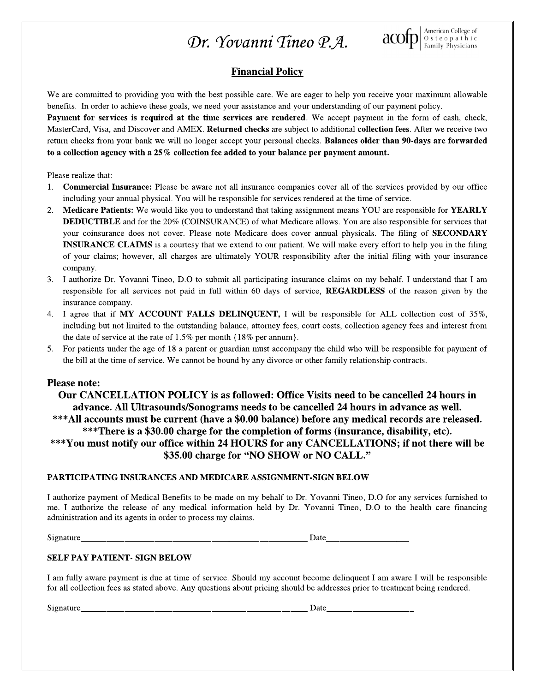

### **Financial Policy**

We are committed to providing you with the best possible care. We are eager to help you receive your maximum allowable benefits. In order to achieve these goals, we need your assistance and your understanding of our payment policy.

Payment for services is required at the time services are rendered. We accept payment in the form of cash, check, MasterCard, Visa, and Discover and AMEX. Returned checks are subject to additional collection fees. After we receive two return checks from your bank we will no longer accept your personal checks. Balances older than 90-days are forwarded to a collection agency with a  $25\%$  collection fee added to your balance per payment amount.

Please realize that:

- 1. Commercial Insurance: Please be aware not all insurance companies cover all of the services provided by our office including your annual physical. You will be responsible for services rendered at the time of service.
- $2.$ Medicare Patients: We would like you to understand that taking assignment means YOU are responsible for YEARLY **DEDUCTIBLE** and for the 20% (COINSURANCE) of what Medicare allows. You are also responsible for services that your coinsurance does not cover. Please note Medicare does cover annual physicals. The filing of SECONDARY **INSURANCE CLAIMS** is a courtesy that we extend to our patient. We will make every effort to help you in the filing of your claims; however, all charges are ultimately YOUR responsibility after the initial filing with your insurance company.
- I authorize Dr. Yovanni Tineo, D.O to submit all participating insurance claims on my behalf. I understand that I am  $3.$ responsible for all services not paid in full within 60 days of service, REGARDLESS of the reason given by the insurance company.
- 4. I agree that if MY ACCOUNT FALLS DELINQUENT, I will be responsible for ALL collection cost of 35%, including but not limited to the outstanding balance, attorney fees, court costs, collection agency fees and interest from the date of service at the rate of  $1.5\%$  per month  $\{18\%$  per annum}.
- For patients under the age of 18 a parent or guardian must accompany the child who will be responsible for payment of 5. the bill at the time of service. We cannot be bound by any divorce or other family relationship contracts.

### **Please note:**

Our CANCELLATION POLICY is as followed: Office Visits need to be cancelled 24 hours in advance. All Ultrasounds/Sonograms needs to be cancelled 24 hours in advance as well. \*\*\* All accounts must be current (have a \$0.00 balance) before any medical records are released. \*\*\*There is a \$30.00 charge for the completion of forms (insurance, disability, etc). \*\*\*You must notify our office within 24 HOURS for any CANCELLATIONS; if not there will be \$35.00 charge for "NO SHOW or NO CALL."

### PARTICIPATING INSURANCES AND MEDICARE ASSIGNMENT-SIGN BELOW

I authorize payment of Medical Benefits to be made on my behalf to Dr. Yovanni Tineo, D.O for any services furnished to me. I authorize the release of any medical information held by Dr. Yovanni Tineo, D.O to the health care financing administration and its agents in order to process my claims.

Signature

Date

### **SELF PAY PATIENT- SIGN BELOW**

I am fully aware payment is due at time of service. Should my account become delinquent I am aware I will be responsible for all collection fees as stated above. Any questions about pricing should be addresses prior to treatment being rendered.

Signature

 $Data$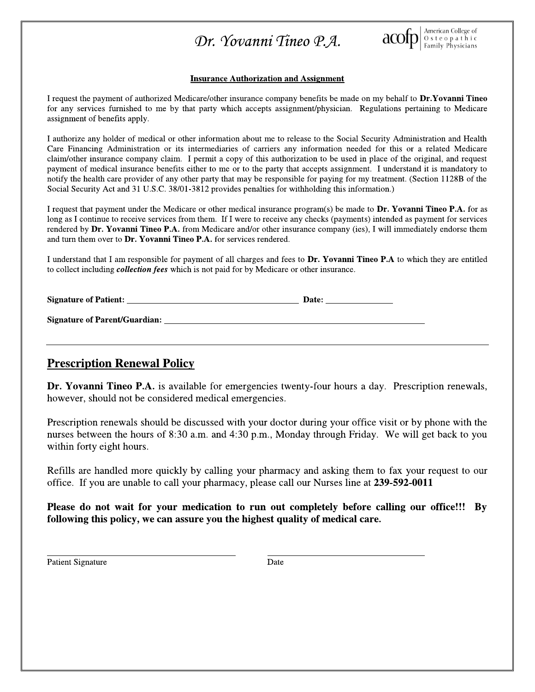

#### **Insurance Authorization and Assignment**

I request the payment of authorized Medicare/other insurance company benefits be made on my behalf to Dr.Yovanni Tineo for any services furnished to me by that party which accepts assignment/physician. Regulations pertaining to Medicare assignment of benefits apply.

I authorize any holder of medical or other information about me to release to the Social Security Administration and Health Care Financing Administration or its intermediaries of carriers any information needed for this or a related Medicare claim/other insurance company claim. I permit a copy of this authorization to be used in place of the original, and request payment of medical insurance benefits either to me or to the party that accepts assignment. I understand it is mandatory to notify the health care provider of any other party that may be responsible for paying for my treatment. (Section 1128B of the Social Security Act and 31 U.S.C. 38/01-3812 provides penalties for withholding this information.)

I request that payment under the Medicare or other medical insurance program(s) be made to Dr. Yovanni Tineo P.A. for as long as I continue to receive services from them. If I were to receive any checks (payments) intended as payment for services rendered by Dr. Yovanni Tineo P.A. from Medicare and/or other insurance company (ies), I will immediately endorse them and turn them over to Dr. Yovanni Tineo P.A. for services rendered.

I understand that I am responsible for payment of all charges and fees to Dr. Yovanni Tineo P.A to which they are entitled to collect including *collection fees* which is not paid for by Medicare or other insurance.

| <b>Signature of Patient:</b>         | Date: |
|--------------------------------------|-------|
| <b>Signature of Parent/Guardian:</b> |       |

### **Prescription Renewal Policy**

**Dr. Yovanni Tineo P.A.** is available for emergencies twenty-four hours a day. Prescription renewals, however, should not be considered medical emergencies.

Prescription renewals should be discussed with your doctor during your office visit or by phone with the nurses between the hours of 8:30 a.m. and 4:30 p.m., Monday through Friday. We will get back to you within forty eight hours.

Refills are handled more quickly by calling your pharmacy and asking them to fax your request to our office. If you are unable to call your pharmacy, please call our Nurses line at 239-592-0011

Please do not wait for your medication to run out completely before calling our office!!!  $\mathbf{B}\mathbf{y}$ following this policy, we can assure you the highest quality of medical care.

**Patient Signature** 

Date